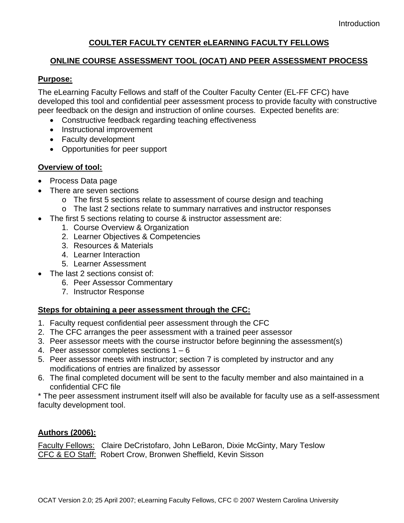# **COULTER FACULTY CENTER eLEARNING FACULTY FELLOWS**

### **ONLINE COURSE ASSESSMENT TOOL (OCAT) AND PEER ASSESSMENT PROCESS**

### **Purpose:**

The eLearning Faculty Fellows and staff of the Coulter Faculty Center (EL-FF CFC) have developed this tool and confidential peer assessment process to provide faculty with constructive peer feedback on the design and instruction of online courses. Expected benefits are:

- Constructive feedback regarding teaching effectiveness
- Instructional improvement
- Faculty development
- Opportunities for peer support

### **Overview of tool:**

- Process Data page
- There are seven sections
	- o The first 5 sections relate to assessment of course design and teaching
	- o The last 2 sections relate to summary narratives and instructor responses
- The first 5 sections relating to course & instructor assessment are:
	- 1. Course Overview & Organization
	- 2. Learner Objectives & Competencies
	- 3. Resources & Materials
	- 4. Learner Interaction
	- 5. Learner Assessment
- The last 2 sections consist of:
	- 6. Peer Assessor Commentary
	- 7. Instructor Response

# **Steps for obtaining a peer assessment through the CFC:**

- 1. Faculty request confidential peer assessment through the CFC
- 2. The CFC arranges the peer assessment with a trained peer assessor
- 3. Peer assessor meets with the course instructor before beginning the assessment(s)
- 4. Peer assessor completes sections  $1 6$
- 5. Peer assessor meets with instructor; section 7 is completed by instructor and any modifications of entries are finalized by assessor
- 6. The final completed document will be sent to the faculty member and also maintained in a confidential CFC file

\* The peer assessment instrument itself will also be available for faculty use as a self-assessment faculty development tool.

# **Authors (2006):**

Faculty Fellows: Claire DeCristofaro, John LeBaron, Dixie McGinty, Mary Teslow CFC & EO Staff: Robert Crow, Bronwen Sheffield, Kevin Sisson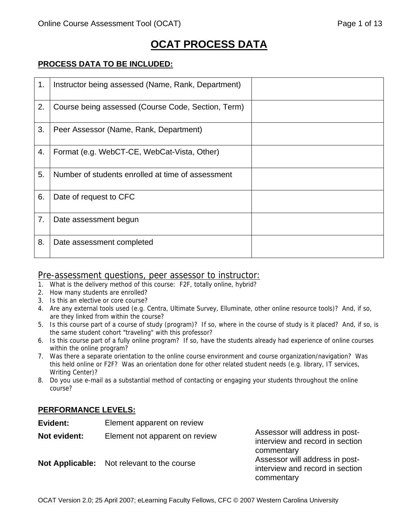# **OCAT PROCESS DATA**

### **PROCESS DATA TO BE INCLUDED:**

| 1. | Instructor being assessed (Name, Rank, Department) |
|----|----------------------------------------------------|
| 2. | Course being assessed (Course Code, Section, Term) |
| 3. | Peer Assessor (Name, Rank, Department)             |
| 4. | Format (e.g. WebCT-CE, WebCat-Vista, Other)        |
| 5. | Number of students enrolled at time of assessment  |
| 6. | Date of request to CFC                             |
| 7. | Date assessment begun                              |
| 8. | Date assessment completed                          |

### Pre-assessment questions, peer assessor to instructor:

- 1. What is the delivery method of this course: F2F, totally online, hybrid?
- 2. How many students are enrolled?
- 3. Is this an elective or core course?
- 4. Are any external tools used (e.g. Centra, Ultimate Survey, Elluminate, other online resource tools)? And, if so, are they linked from within the course?
- 5. Is this course part of a course of study (program)? If so, where in the course of study is it placed? And, if so, is the same student cohort "traveling" with this professor?
- 6. Is this course part of a fully online program? If so, have the students already had experience of online courses within the online program?
- 7. Was there a separate orientation to the online course environment and course organization/navigation? Was this held online or F2F? Was an orientation done for other related student needs (e.g. library, IT services, Writing Center)?
- 8. Do you use e-mail as a substantial method of contacting or engaging your students throughout the online course?

# **PERFORMANCE LEVELS:**

| Evident:     | Element apparent on review                        |                                                                                               |
|--------------|---------------------------------------------------|-----------------------------------------------------------------------------------------------|
| Not evident: | Element not apparent on review                    | Assessor will address in post-<br>interview and record in section                             |
|              | <b>Not Applicable:</b> Not relevant to the course | commentary<br>Assessor will address in post-<br>interview and record in section<br>commentary |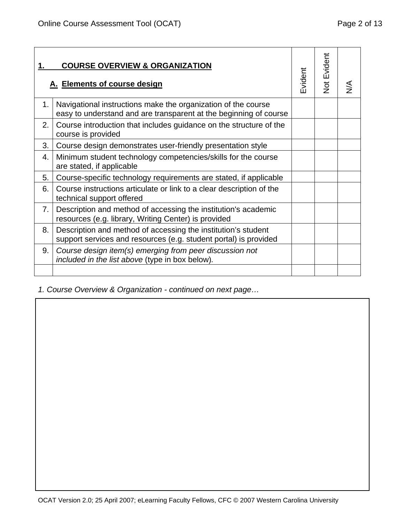|    | <b>COURSE OVERVIEW &amp; ORGANIZATION</b><br>A. Elements of course design                                                          | Evident | <b>Not Evident</b> |  |
|----|------------------------------------------------------------------------------------------------------------------------------------|---------|--------------------|--|
| 1. | Navigational instructions make the organization of the course<br>easy to understand and are transparent at the beginning of course |         |                    |  |
| 2. | Course introduction that includes guidance on the structure of the<br>course is provided                                           |         |                    |  |
| 3. | Course design demonstrates user-friendly presentation style                                                                        |         |                    |  |
| 4. | Minimum student technology competencies/skills for the course<br>are stated, if applicable                                         |         |                    |  |
| 5. | Course-specific technology requirements are stated, if applicable                                                                  |         |                    |  |
| 6. | Course instructions articulate or link to a clear description of the<br>technical support offered                                  |         |                    |  |
| 7. | Description and method of accessing the institution's academic<br>resources (e.g. library, Writing Center) is provided             |         |                    |  |
| 8. | Description and method of accessing the institution's student<br>support services and resources (e.g. student portal) is provided  |         |                    |  |
| 9. | Course design item(s) emerging from peer discussion not<br>included in the list above (type in box below).                         |         |                    |  |
|    |                                                                                                                                    |         |                    |  |

*1. Course Overview & Organization - continued on next page…*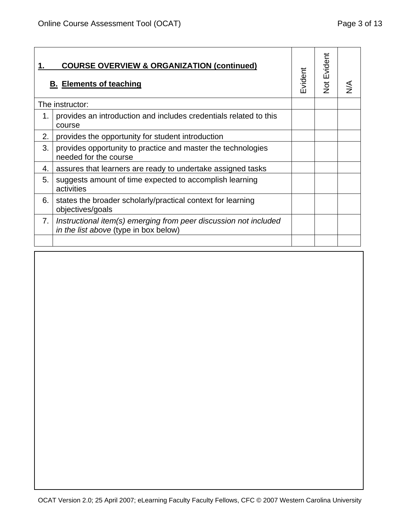|    | <b>COURSE OVERVIEW &amp; ORGANIZATION (continued)</b><br><b>B. Elements of teaching</b>                   | Evident | <b>Not Evident</b> |  |
|----|-----------------------------------------------------------------------------------------------------------|---------|--------------------|--|
|    | The instructor:                                                                                           |         |                    |  |
| 1. | provides an introduction and includes credentials related to this<br>course                               |         |                    |  |
| 2. | provides the opportunity for student introduction                                                         |         |                    |  |
| 3. | provides opportunity to practice and master the technologies<br>needed for the course                     |         |                    |  |
| 4. | assures that learners are ready to undertake assigned tasks                                               |         |                    |  |
| 5. | suggests amount of time expected to accomplish learning<br>activities                                     |         |                    |  |
| 6. | states the broader scholarly/practical context for learning<br>objectives/goals                           |         |                    |  |
| 7. | Instructional item(s) emerging from peer discussion not included<br>in the list above (type in box below) |         |                    |  |
|    |                                                                                                           |         |                    |  |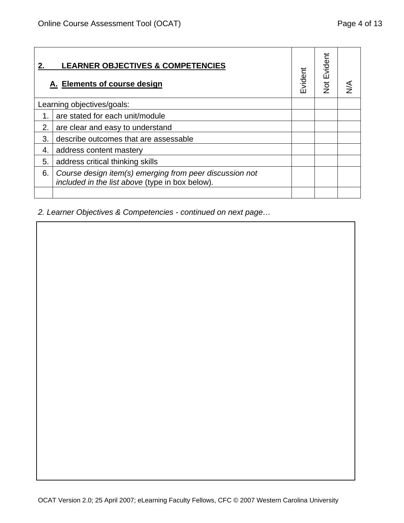|    | <b>LEARNER OBJECTIVES &amp; COMPETENCIES</b><br>A. Elements of course design                               | Evident | <b>Not Evident</b> |  |
|----|------------------------------------------------------------------------------------------------------------|---------|--------------------|--|
|    | Learning objectives/goals:                                                                                 |         |                    |  |
| 1. | are stated for each unit/module                                                                            |         |                    |  |
| 2. | are clear and easy to understand                                                                           |         |                    |  |
| 3. | describe outcomes that are assessable                                                                      |         |                    |  |
| 4. | address content mastery                                                                                    |         |                    |  |
| 5. | address critical thinking skills                                                                           |         |                    |  |
| 6. | Course design item(s) emerging from peer discussion not<br>included in the list above (type in box below). |         |                    |  |
|    |                                                                                                            |         |                    |  |

*2. Learner Objectives & Competencies - continued on next page…*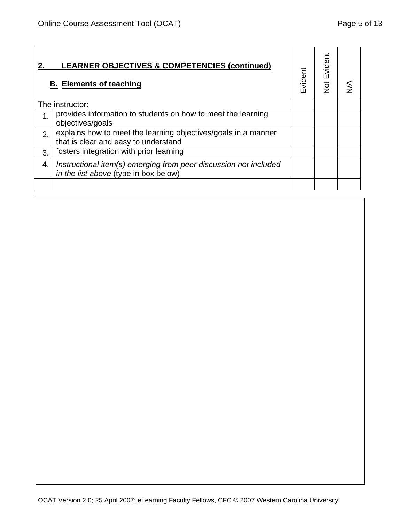|    | <b>LEARNER OBJECTIVES &amp; COMPETENCIES (continued)</b><br><b>B. Elements of teaching</b>                | Evident | <b>Not Evident</b> |  |
|----|-----------------------------------------------------------------------------------------------------------|---------|--------------------|--|
|    | The instructor:                                                                                           |         |                    |  |
|    | provides information to students on how to meet the learning<br>objectives/goals                          |         |                    |  |
| 2. | explains how to meet the learning objectives/goals in a manner<br>that is clear and easy to understand    |         |                    |  |
| 3. | fosters integration with prior learning                                                                   |         |                    |  |
| 4. | Instructional item(s) emerging from peer discussion not included<br>in the list above (type in box below) |         |                    |  |
|    |                                                                                                           |         |                    |  |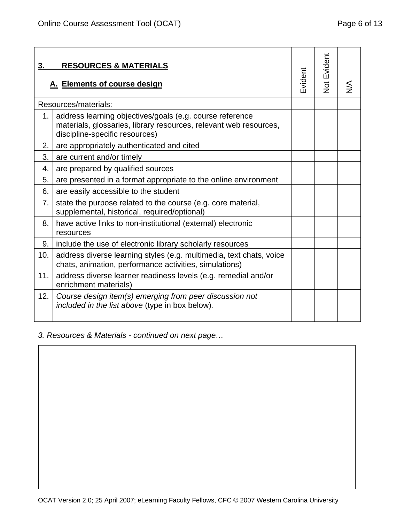| 3.  | <b>RESOURCES &amp; MATERIALS</b><br>A. Elements of course design                                                                                                | Evident | <b>Not Evident</b> |  |
|-----|-----------------------------------------------------------------------------------------------------------------------------------------------------------------|---------|--------------------|--|
|     | Resources/materials:                                                                                                                                            |         |                    |  |
| 1.  | address learning objectives/goals (e.g. course reference<br>materials, glossaries, library resources, relevant web resources,<br>discipline-specific resources) |         |                    |  |
| 2.  | are appropriately authenticated and cited                                                                                                                       |         |                    |  |
| 3.  | are current and/or timely                                                                                                                                       |         |                    |  |
| 4.  | are prepared by qualified sources                                                                                                                               |         |                    |  |
| 5.  | are presented in a format appropriate to the online environment                                                                                                 |         |                    |  |
| 6.  | are easily accessible to the student                                                                                                                            |         |                    |  |
| 7.  | state the purpose related to the course (e.g. core material,<br>supplemental, historical, required/optional)                                                    |         |                    |  |
| 8.  | have active links to non-institutional (external) electronic<br>resources                                                                                       |         |                    |  |
| 9.  | include the use of electronic library scholarly resources                                                                                                       |         |                    |  |
| 10. | address diverse learning styles (e.g. multimedia, text chats, voice<br>chats, animation, performance activities, simulations)                                   |         |                    |  |
| 11. | address diverse learner readiness levels (e.g. remedial and/or<br>enrichment materials)                                                                         |         |                    |  |
| 12. | Course design item(s) emerging from peer discussion not<br>included in the list above (type in box below).                                                      |         |                    |  |
|     |                                                                                                                                                                 |         |                    |  |

*3. Resources & Materials - continued on next page…*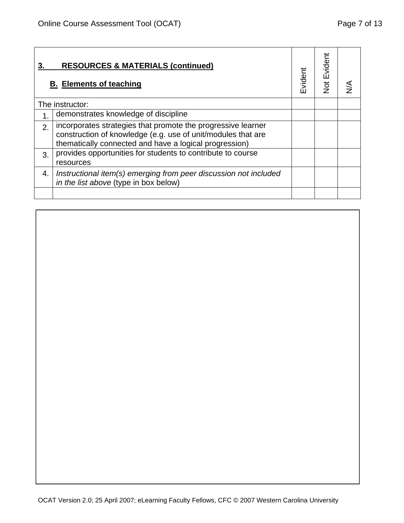|    | <b>RESOURCES &amp; MATERIALS (continued)</b><br><b>B. Elements of teaching</b>                                                                                                         | Evident | <b>Not Evident</b> |  |
|----|----------------------------------------------------------------------------------------------------------------------------------------------------------------------------------------|---------|--------------------|--|
|    | The instructor:                                                                                                                                                                        |         |                    |  |
| 1. | demonstrates knowledge of discipline                                                                                                                                                   |         |                    |  |
| 2. | incorporates strategies that promote the progressive learner<br>construction of knowledge (e.g. use of unit/modules that are<br>thematically connected and have a logical progression) |         |                    |  |
| 3. | provides opportunities for students to contribute to course<br>resources                                                                                                               |         |                    |  |
| 4. | Instructional item(s) emerging from peer discussion not included<br>in the list above (type in box below)                                                                              |         |                    |  |
|    |                                                                                                                                                                                        |         |                    |  |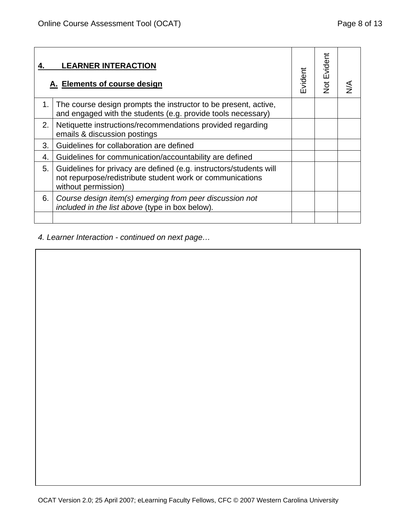| 4. | <b>LEARNER INTERACTION</b><br>A. Elements of course design                                                                                             | Evident | Not Evident |  |
|----|--------------------------------------------------------------------------------------------------------------------------------------------------------|---------|-------------|--|
| 1. | The course design prompts the instructor to be present, active,<br>and engaged with the students (e.g. provide tools necessary)                        |         |             |  |
| 2. | Netiquette instructions/recommendations provided regarding<br>emails & discussion postings                                                             |         |             |  |
| 3. | Guidelines for collaboration are defined                                                                                                               |         |             |  |
| 4. | Guidelines for communication/accountability are defined                                                                                                |         |             |  |
| 5. | Guidelines for privacy are defined (e.g. instructors/students will<br>not repurpose/redistribute student work or communications<br>without permission) |         |             |  |
| 6. | Course design item(s) emerging from peer discussion not<br>included in the list above (type in box below).                                             |         |             |  |
|    |                                                                                                                                                        |         |             |  |

*4. Learner Interaction - continued on next page…*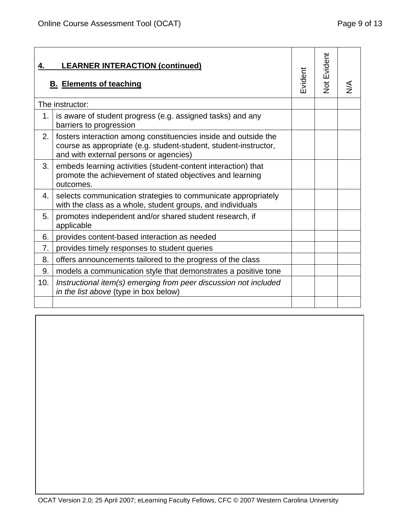| 4.  | <b>LEARNER INTERACTION (continued)</b><br><b>B. Elements of teaching</b>                                                                                                      | Evident | <b>Not Evident</b> | ⋚ |
|-----|-------------------------------------------------------------------------------------------------------------------------------------------------------------------------------|---------|--------------------|---|
|     | The instructor:                                                                                                                                                               |         |                    |   |
| 1.  | is aware of student progress (e.g. assigned tasks) and any<br>barriers to progression                                                                                         |         |                    |   |
| 2.  | fosters interaction among constituencies inside and outside the<br>course as appropriate (e.g. student-student, student-instructor,<br>and with external persons or agencies) |         |                    |   |
| 3.  | embeds learning activities (student-content interaction) that<br>promote the achievement of stated objectives and learning<br>outcomes.                                       |         |                    |   |
| 4.  | selects communication strategies to communicate appropriately<br>with the class as a whole, student groups, and individuals                                                   |         |                    |   |
| 5.  | promotes independent and/or shared student research, if<br>applicable                                                                                                         |         |                    |   |
| 6.  | provides content-based interaction as needed                                                                                                                                  |         |                    |   |
| 7.  | provides timely responses to student queries                                                                                                                                  |         |                    |   |
| 8.  | offers announcements tailored to the progress of the class                                                                                                                    |         |                    |   |
| 9.  | models a communication style that demonstrates a positive tone                                                                                                                |         |                    |   |
| 10. | Instructional item(s) emerging from peer discussion not included<br>in the list above (type in box below)                                                                     |         |                    |   |
|     |                                                                                                                                                                               |         |                    |   |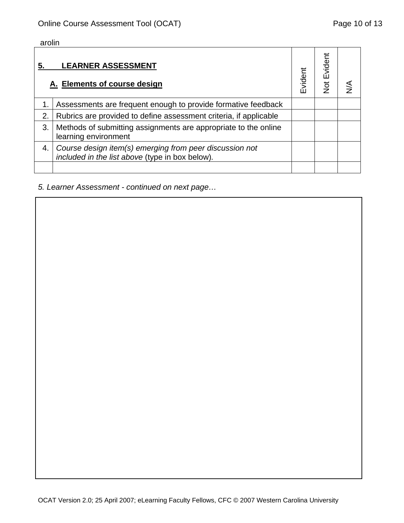arolin

|             | <b>LEARNER ASSESSMENT</b><br>A. Elements of course design                                                  | Evident | vident<br>ш<br>$\frac{1}{2}$ |  |
|-------------|------------------------------------------------------------------------------------------------------------|---------|------------------------------|--|
| $\mathbf 1$ | Assessments are frequent enough to provide formative feedback                                              |         |                              |  |
| 2.          | Rubrics are provided to define assessment criteria, if applicable                                          |         |                              |  |
| 3.          | Methods of submitting assignments are appropriate to the online<br>learning environment                    |         |                              |  |
| 4.          | Course design item(s) emerging from peer discussion not<br>included in the list above (type in box below). |         |                              |  |
|             |                                                                                                            |         |                              |  |

# *5. Learner Assessment - continued on next page…*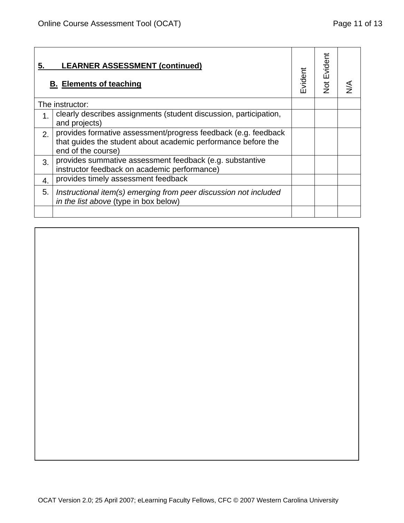| 5. | <b>LEARNER ASSESSMENT (continued)</b><br><b>B. Elements of teaching</b>                                                                               | Evident | <b>Not Evident</b> |  |
|----|-------------------------------------------------------------------------------------------------------------------------------------------------------|---------|--------------------|--|
|    | The instructor:                                                                                                                                       |         |                    |  |
| 1. | clearly describes assignments (student discussion, participation,<br>and projects)                                                                    |         |                    |  |
| 2. | provides formative assessment/progress feedback (e.g. feedback<br>that guides the student about academic performance before the<br>end of the course) |         |                    |  |
| 3. | provides summative assessment feedback (e.g. substantive<br>instructor feedback on academic performance)                                              |         |                    |  |
| 4. | provides timely assessment feedback                                                                                                                   |         |                    |  |
| 5. | Instructional item(s) emerging from peer discussion not included<br>in the list above (type in box below)                                             |         |                    |  |
|    |                                                                                                                                                       |         |                    |  |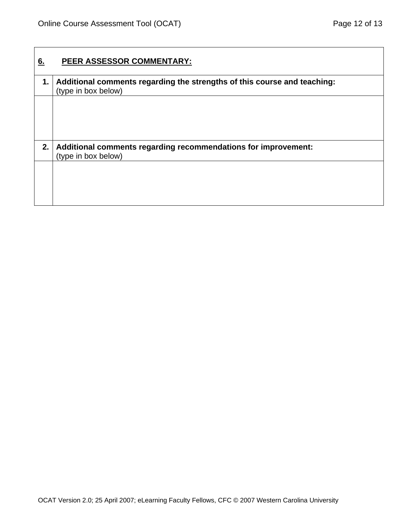| PEER ASSESSOR COMMENTARY:                                                                       |
|-------------------------------------------------------------------------------------------------|
| Additional comments regarding the strengths of this course and teaching:<br>(type in box below) |
|                                                                                                 |
|                                                                                                 |
| Additional comments regarding recommendations for improvement:<br>(type in box below)           |
|                                                                                                 |
|                                                                                                 |
|                                                                                                 |